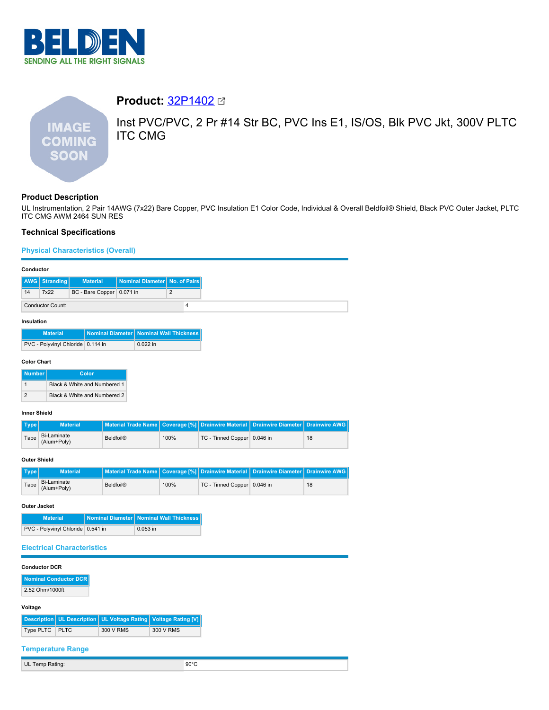

**Product:** [32P1402](https://catalog.belden.com/index.cfm?event=pd&p=PF_32P1402&tab=downloads) Inst PVC/PVC, 2 Pr #14 Str BC, PVC Ins E1, IS/OS, Blk PVC Jkt, 300V PLTC **IMAGE** ITC CMG **COMING SOON** 

# **Product Description**

UL Instrumentation, 2 Pair 14AWG (7x22) Bare Copper, PVC Insulation E1 Color Code, Individual & Overall Beldfoil® Shield, Black PVC Outer Jacket, PLTC ITC CMG AWM 2464 SUN RES

# **Technical Specifications**

# **Physical Characteristics (Overall)**

### **Conductor**

|    | AWG Stranding           | <b>Material</b>             | Nominal Diameter No. of Pairs |  |
|----|-------------------------|-----------------------------|-------------------------------|--|
| 14 | 7x22                    | BC - Bare Copper   0.071 in |                               |  |
|    | <b>Conductor Count:</b> |                             |                               |  |

## **Insulation**

| <b>Material</b>                   | Nominal Diameter   Nominal Wall Thickness |
|-----------------------------------|-------------------------------------------|
| PVC - Polyvinyl Chloride 0.114 in | $0.022$ in                                |

### **Color Chart**

| <b>Number</b> | Color                        |
|---------------|------------------------------|
|               | Black & White and Numbered 1 |
|               | Black & White and Numbered 2 |

## **Inner Shield**

| Type | <b>Material</b>            | Material Trade Name   Coverage [%]   Drainwire Material   Drainwire Diameter   Drainwire AWG |      |                             |    |
|------|----------------------------|----------------------------------------------------------------------------------------------|------|-----------------------------|----|
| Tape | Bi-Laminate<br>(Alum+Poly) | Beldfoil®                                                                                    | 100% | TC - Tinned Copper 0.046 in | 18 |

## **Outer Shield**

| Type | <b>Material</b>            | Material Trade Name   Coverage [%] Drainwire Material   Drainwire Diameter   Drainwire AWG |      |                             |    |
|------|----------------------------|--------------------------------------------------------------------------------------------|------|-----------------------------|----|
| Tape | Bi-Laminate<br>(Alum+Poly) | Beldfoil®                                                                                  | 100% | TC - Tinned Copper 0.046 in | 18 |

#### **Outer Jacket**

| <b>Material</b>                   | Nominal Diameter   Nominal Wall Thickness |
|-----------------------------------|-------------------------------------------|
| PVC - Polyvinyl Chloride 0.541 in | $0.053$ in                                |

# **Electrical Characteristics**

| <b>Conductor DCR</b> |  |
|----------------------|--|
|----------------------|--|

**Nominal Conductor DCR** 2.52 Ohm/1000ft

#### **Voltage**

|                |           | Description   UL Description   UL Voltage Rating   Voltage Rating [V] |
|----------------|-----------|-----------------------------------------------------------------------|
| Type PLTC PLTC | 300 V RMS | 300 V RMS                                                             |

## **Temperature Range**

UL Temp Rating: 90°C